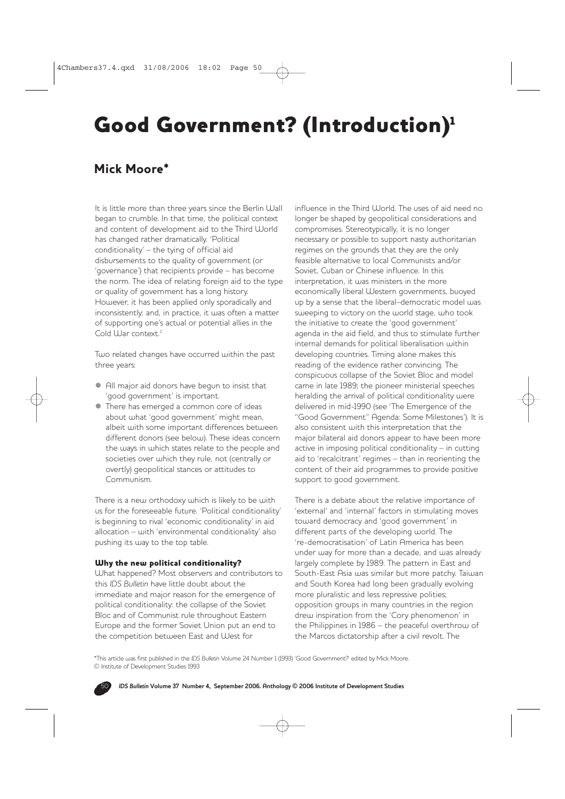# Good Government? (Introduction)<sup>1</sup>

# Mick Moore\*

It is little more than three years since the Berlin Wall began to crumble. In that time, the political context and content of development aid to the Third World has changed rather dramatically. 'Political conditionality' – the tying of official aid disbursements to the quality of government (or 'governance') that recipients provide – has become the norm. The idea of relating foreign aid to the type or quality of government has a long history. However, it has been applied only sporadically and inconsistently; and, in practice, it was often a matter of supporting one's actual or potential allies in the Cold War context.<sup>2</sup>

Two related changes have occurred within the past three years:

- All major aid donors have begun to insist that 'good government' is important.
- There has emerged a common core of ideas about what 'good government' might mean, albeit with some important differences between different donors (see below). These ideas concern the ways in which states relate to the people and societies over which they rule, not (centrally or overtly) geopolitical stances or attitudes to Communism.

There is a new orthodoxy which is likely to be with us for the foreseeable future. 'Political conditionality' is beginning to rival 'economic conditionality' in aid allocation – with 'environmental conditionality' also pushing its way to the top table.

# Why the new political conditionality?

What happened? Most observers and contributors to this *IDS Bulletin* have little doubt about the immediate and major reason for the emergence of political conditionality: the collapse of the Soviet Bloc and of Communist rule throughout Eastern Europe and the former Soviet Union put an end to the competition between East and West for

influence in the Third World. The uses of aid need no longer be shaped by geopolitical considerations and compromises. Stereotypically, it is no longer necessary or possible to support nasty authoritarian regimes on the grounds that they are the only feasible alternative to local Communists and/or Soviet, Cuban or Chinese influence. In this interpretation, it was ministers in the more economically liberal Western governments, buoyed up by a sense that the liberal–democratic model was sweeping to victory on the world stage, who took the initiative to create the 'good government' agenda in the aid field, and thus to stimulate further internal demands for political liberalisation within developing countries. Timing alone makes this reading of the evidence rather convincing. The conspicuous collapse of the Soviet Bloc and model came in late 1989; the pioneer ministerial speeches heralding the arrival of political conditionality were delivered in mid-1990 (see 'The Emergence of the "Good Government" Agenda: Some Milestones'). It is also consistent with this interpretation that the major bilateral aid donors appear to have been more active in imposing political conditionality – in cutting aid to 'recalcitrant' regimes – than in reorienting the content of their aid programmes to provide positive support to good government.

There is a debate about the relative importance of 'external' and 'internal' factors in stimulating moves toward democracy and 'good government' in different parts of the developing world. The 're-democratisation' of Latin America has been under way for more than a decade, and was already largely complete by 1989. The pattern in East and South-East Asia was similar but more patchy. Taiwan and South Korea had long been gradually evolving more pluralistic and less repressive polities; opposition groups in many countries in the region drew inspiration from the 'Cory phenomenon' in the Philippines in 1986 – the peaceful overthrow of the Marcos dictatorship after a civil revolt. The

\*This article was first published in the *IDS Bulletin* Volume 24 Number 1 (1993) 'Good Government?' edited by Mick Moore. © Institute of Development Studies 1993

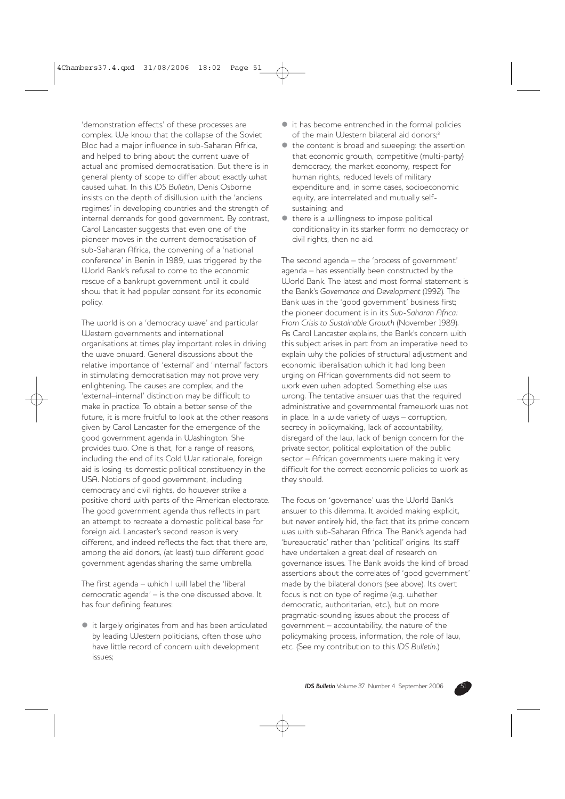'demonstration effects' of these processes are complex. We know that the collapse of the Soviet Bloc had a major influence in sub-Saharan Africa, and helped to bring about the current wave of actual and promised democratisation. But there is in general plenty of scope to differ about exactly what caused what. In this *IDS Bulletin*, Denis Osborne insists on the depth of disillusion with the 'anciens regimes' in developing countries and the strength of internal demands for good government. By contrast, Carol Lancaster suggests that even one of the pioneer moves in the current democratisation of sub-Saharan Africa, the convening of a 'national conference' in Benin in 1989, was triggered by the World Bank's refusal to come to the economic rescue of a bankrupt government until it could show that it had popular consent for its economic policy.

The world is on a 'democracy wave' and particular Western governments and international organisations at times play important roles in driving the wave onward. General discussions about the relative importance of 'external' and 'internal' factors in stimulating democratisation may not prove very enlightening. The causes are complex, and the 'external–internal' distinction may be difficult to make in practice. To obtain a better sense of the future, it is more fruitful to look at the other reasons given by Carol Lancaster for the emergence of the good government agenda in Washington. She provides two. One is that, for a range of reasons, including the end of its Cold War rationale, foreign aid is losing its domestic political constituency in the USA. Notions of good government, including democracy and civil rights, do however strike a positive chord with parts of the American electorate. The good government agenda thus reflects in part an attempt to recreate a domestic political base for foreign aid. Lancaster's second reason is very different, and indeed reflects the fact that there are, among the aid donors, (at least) two different good government agendas sharing the same umbrella.

The first agenda – which I will label the 'liberal democratic agenda' – is the one discussed above. It has four defining features:

• it largely originates from and has been articulated by leading Western politicians, often those who have little record of concern with development issues;

- $\bullet$  it has become entrenched in the formal policies of the main Western bilateral aid donors;<sup>3</sup>
- $\bullet$  the content is broad and sweeping: the assertion that economic growth, competitive (multi-party) democracy, the market economy, respect for human rights, reduced levels of military expenditure and, in some cases, socioeconomic equity, are interrelated and mutually selfsustaining; and
- $\bullet$  there is a willingness to impose political conditionality in its starker form: no democracy or civil rights, then no aid.

The second agenda – the 'process of government' agenda – has essentially been constructed by the World Bank. The latest and most formal statement is the Bank's *Governance and Development* (1992). The Bank was in the 'good government' business first; the pioneer document is in its *Sub-Saharan Africa: From Crisis to Sustainable Growth* (November 1989). As Carol Lancaster explains, the Bank's concern with this subject arises in part from an imperative need to explain why the policies of structural adjustment and economic liberalisation which it had long been urging on African governments did not seem to work even when adopted. Something else was wrong. The tentative answer was that the required administrative and governmental framework was not in place. In a wide variety of ways – corruption, secrecy in policymaking, lack of accountability, disregard of the law, lack of benign concern for the private sector, political exploitation of the public sector – African governments were making it very difficult for the correct economic policies to work as they should.

The focus on 'governance' was the World Bank's answer to this dilemma. It avoided making explicit, but never entirely hid, the fact that its prime concern was with sub-Saharan Africa. The Bank's agenda had 'bureaucratic' rather than 'political' origins. Its staff have undertaken a great deal of research on governance issues. The Bank avoids the kind of broad assertions about the correlates of 'good government' made by the bilateral donors (see above). Its overt focus is not on type of regime (e.g. whether democratic, authoritarian, etc.), but on more pragmatic-sounding issues about the process of government – accountability, the nature of the policymaking process, information, the role of law, etc. (See my contribution to this *IDS Bulletin*.)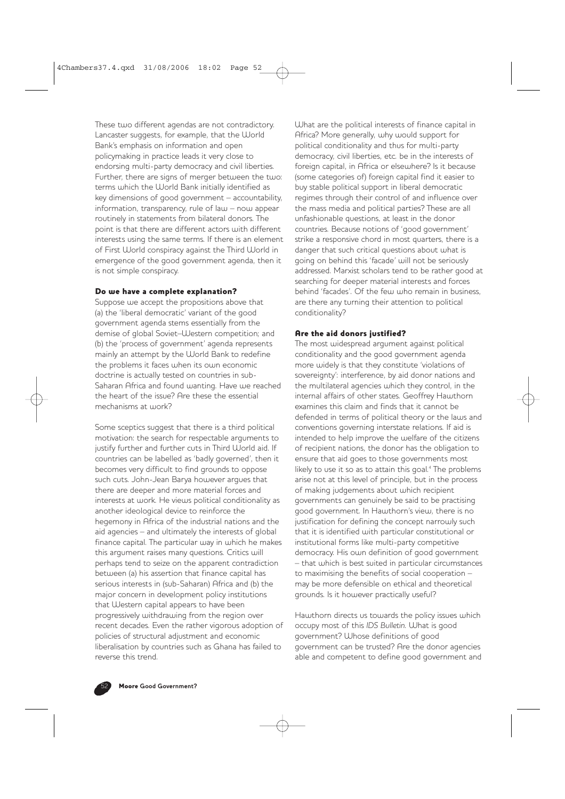These two different agendas are not contradictory. Lancaster suggests, for example, that the World Bank's emphasis on information and open policymaking in practice leads it very close to endorsing multi-party democracy and civil liberties. Further, there are signs of merger between the two: terms which the World Bank initially identified as key dimensions of good government – accountability, information, transparency, rule of law – now appear routinely in statements from bilateral donors. The point is that there are different actors with different interests using the same terms. If there is an element of First World conspiracy against the Third World in emergence of the good government agenda, then it is not simple conspiracy.

#### Do we have a complete explanation?

Suppose we accept the propositions above that (a) the 'liberal democratic' variant of the good government agenda stems essentially from the demise of global Soviet–Western competition; and (b) the 'process of government' agenda represents mainly an attempt by the World Bank to redefine the problems it faces when its own economic doctrine is actually tested on countries in sub-Saharan Africa and found wanting. Have we reached the heart of the issue? Are these the essential  $mechanisms$  at  $work2$ 

Some sceptics suggest that there is a third political motivation: the search for respectable arguments to justify further and further cuts in Third World aid. If countries can be labelled as 'badly governed', then it becomes very difficult to find grounds to oppose such cuts. John-Jean Barya however argues that there are deeper and more material forces and interests at work. He views political conditionality as another ideological device to reinforce the hegemony in Africa of the industrial nations and the aid agencies – and ultimately the interests of global finance capital. The particular way in which he makes this argument raises many questions. Critics will perhaps tend to seize on the apparent contradiction between (a) his assertion that finance capital has serious interests in (sub-Saharan) Africa and (b) the major concern in development policy institutions that Western capital appears to have been progressively withdrawing from the region over recent decades. Even the rather vigorous adoption of policies of structural adjustment and economic liberalisation by countries such as Ghana has failed to reverse this trend.

What are the political interests of finance capital in Africa? More generally, why would support for political conditionality and thus for multi-party democracy, civil liberties, etc. be in the interests of foreign capital, in Africa or elsewhere? Is it because (some categories of) foreign capital find it easier to buy stable political support in liberal democratic regimes through their control of and influence over the mass media and political parties? These are all unfashionable questions, at least in the donor countries. Because notions of 'good government' strike a responsive chord in most quarters, there is a danger that such critical questions about what is going on behind this 'facade' will not be seriously addressed. Marxist scholars tend to be rather good at searching for deeper material interests and forces behind 'facades'. Of the few who remain in business, are there any turning their attention to political conditionality?

## Are the aid donors justified?

The most widespread argument against political conditionality and the good government agenda more widely is that they constitute 'violations of sovereignty': interference, by aid donor nations and the multilateral agencies which they control, in the internal affairs of other states. Geoffrey Hawthorn examines this claim and finds that it cannot be defended in terms of political theory or the laws and conventions governing interstate relations. If aid is intended to help improve the welfare of the citizens of recipient nations, the donor has the obligation to ensure that aid goes to those governments most likely to use it so as to attain this goal.<sup>4</sup> The problems arise not at this level of principle, but in the process of making judgements about which recipient governments can genuinely be said to be practising good government. In Hawthorn's view, there is no justification for defining the concept narrowly such that it is identified with particular constitutional or institutional forms like multi-party competitive democracy. His own definition of good government – that which is best suited in particular circumstances to maximising the benefits of social cooperation – may be more defensible on ethical and theoretical grounds. Is it however practically useful?

Hawthorn directs us towards the policy issues which occupy most of this *IDS Bulletin*. What is good government? Whose definitions of good government can be trusted? Are the donor agencies able and competent to define good government and

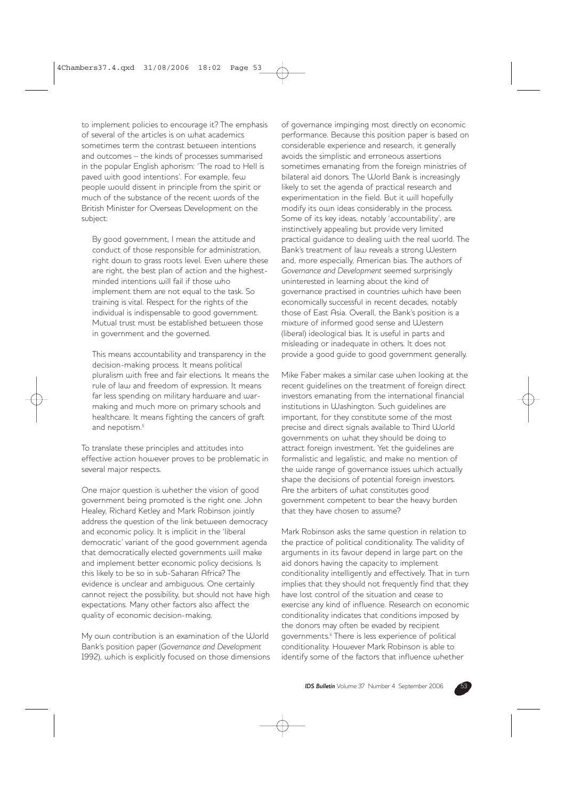to implement policies to encourage it? The emphasis of several of the articles is on what academics sometimes term the contrast between intentions and outcomes – the kinds of processes summarised in the popular English aphorism: 'The road to Hell is paved with good intentions'. For example, few people would dissent in principle from the spirit or much of the substance of the recent words of the British Minister for Overseas Development on the subject:

By good government, I mean the attitude and conduct of those responsible for administration, right down to grass roots level. Even where these are right, the best plan of action and the highestminded intentions will fail if those who implement them are not equal to the task. So training is vital. Respect for the rights of the individual is indispensable to good government. Mutual trust must be established between those in government and the governed.

This means accountability and transparency in the decision-making process. It means political pluralism with free and fair elections. It means the rule of law and freedom of expression. It means far less spending on military hardware and warmaking and much more on primary schools and healthcare. It means fighting the cancers of graft and nepotism.<sup>5</sup>

To translate these principles and attitudes into effective action however proves to be problematic in several major respects.

One major question is whether the vision of good government being promoted is the right one. John Healey, Richard Ketley and Mark Robinson jointly address the question of the link between democracy and economic policy. It is implicit in the 'liberal democratic' variant of the good government agenda that democratically elected governments will make and implement better economic policy decisions. Is this likely to be so in sub-Saharan Africa? The evidence is unclear and ambiguous. One certainly cannot reject the possibility, but should not have high expectations. Many other factors also affect the quality of economic decision-making.

My own contribution is an examination of the World Bank's position paper (*Governance and Development* 1992), which is explicitly focused on those dimensions

of governance impinging most directly on economic performance. Because this position paper is based on considerable experience and research, it generally avoids the simplistic and erroneous assertions sometimes emanating from the foreign ministries of bilateral aid donors. The World Bank is increasingly likely to set the agenda of practical research and experimentation in the field. But it will hopefully modify its own ideas considerably in the process. Some of its key ideas, notably 'accountability', are instinctively appealing but provide very limited practical guidance to dealing with the real world. The Bank's treatment of law reveals a strong Western and, more especially, American bias. The authors of *Governance and Development* seemed surprisingly uninterested in learning about the kind of governance practised in countries which have been economically successful in recent decades, notably those of East Asia. Overall, the Bank's position is a mixture of informed good sense and Western (liberal) ideological bias. It is useful in parts and misleading or inadequate in others. It does not provide a good guide to good government generally.

Mike Faber makes a similar case when looking at the recent guidelines on the treatment of foreign direct investors emanating from the international financial institutions in Washington. Such guidelines are important, for they constitute some of the most precise and direct signals available to Third World governments on what they should be doing to attract foreign investment. Yet the guidelines are formalistic and legalistic, and make no mention of the wide range of governance issues which actually shape the decisions of potential foreign investors. Are the arbiters of what constitutes good government competent to bear the heavy burden that they have chosen to assume?

Mark Robinson asks the same question in relation to the practice of political conditionality. The validity of arguments in its favour depend in large part on the aid donors having the capacity to implement conditionality intelligently and effectively. That in turn implies that they should not frequently find that they have lost control of the situation and cease to exercise any kind of influence. Research on economic conditionality indicates that conditions imposed by the donors may often be evaded by recipient governments.<sup>6</sup> There is less experience of political conditionality. However Mark Robinson is able to identify some of the factors that influence whether

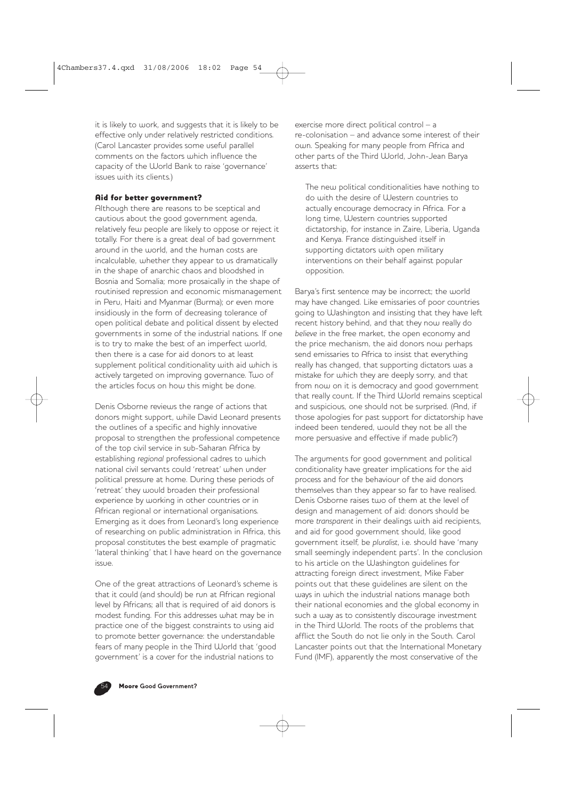it is likely to work, and suggests that it is likely to be effective only under relatively restricted conditions. (Carol Lancaster provides some useful parallel comments on the factors which influence the capacity of the World Bank to raise 'governance' issues with its clients.)

#### Aid for better government?

Although there are reasons to be sceptical and cautious about the good government agenda, relatively few people are likely to oppose or reject it totally. For there is a great deal of bad government around in the world, and the human costs are incalculable, whether they appear to us dramatically in the shape of anarchic chaos and bloodshed in Bosnia and Somalia; more prosaically in the shape of routinised repression and economic mismanagement in Peru, Haiti and Myanmar (Burma); or even more insidiously in the form of decreasing tolerance of open political debate and political dissent by elected governments in some of the industrial nations. If one is to try to make the best of an imperfect world, then there is a case for aid donors to at least supplement political conditionality with aid which is actively targeted on improving governance. Two of the articles focus on how this might be done.

Denis Osborne reviews the range of actions that donors might support, while David Leonard presents the outlines of a specific and highly innovative proposal to strengthen the professional competence of the top civil service in sub-Saharan Africa by establishing *regional* professional cadres to which national civil servants could 'retreat' when under political pressure at home. During these periods of 'retreat' they would broaden their professional experience by working in other countries or in African regional or international organisations. Emerging as it does from Leonard's long experience of researching on public administration in Africa, this proposal constitutes the best example of pragmatic 'lateral thinking' that I have heard on the governance issue.

One of the great attractions of Leonard's scheme is that it could (and should) be run at African regional level by Africans; all that is required of aid donors is modest funding. For this addresses what may be in practice one of the biggest constraints to using aid to promote better governance: the understandable fears of many people in the Third World that 'good government' is a cover for the industrial nations to

exercise more direct political control – a re-colonisation – and advance some interest of their own. Speaking for many people from Africa and other parts of the Third World, John-Jean Barya asserts that:

The new political conditionalities have nothing to do with the desire of Western countries to actually encourage democracy in Africa. For a long time, Western countries supported dictatorship, for instance in Zaire, Liberia, Uganda and Kenya. France distinguished itself in supporting dictators with open military interventions on their behalf against popular opposition.

Barya's first sentence may be incorrect; the world may have changed. Like emissaries of poor countries going to Washington and insisting that they have left recent history behind, and that they now really do *believe* in the free market, the open economy and the price mechanism, the aid donors now perhaps send emissaries to Africa to insist that everything really has changed, that supporting dictators was a mistake for which they are deeply sorry, and that from now on it is democracy and good government that really count. If the Third World remains sceptical and suspicious, one should not be surprised. (And, if those apologies for past support for dictatorship have indeed been tendered, would they not be all the more persuasive and effective if made public?)

The arguments for good government and political conditionality have greater implications for the aid process and for the behaviour of the aid donors themselves than they appear so far to have realised. Denis Osborne raises two of them at the level of design and management of aid: donors should be more *transparent* in their dealings with aid recipients, and aid for good government should, like good government itself, be *pluralist*, i.e. should have 'many small seemingly independent parts'. In the conclusion to his article on the Washington guidelines for attracting foreign direct investment, Mike Faber points out that these guidelines are silent on the ways in which the industrial nations manage both their national economies and the global economy in such a way as to consistently discourage investment in the Third World. The roots of the problems that afflict the South do not lie only in the South. Carol Lancaster points out that the International Monetary Fund (IMF), apparently the most conservative of the

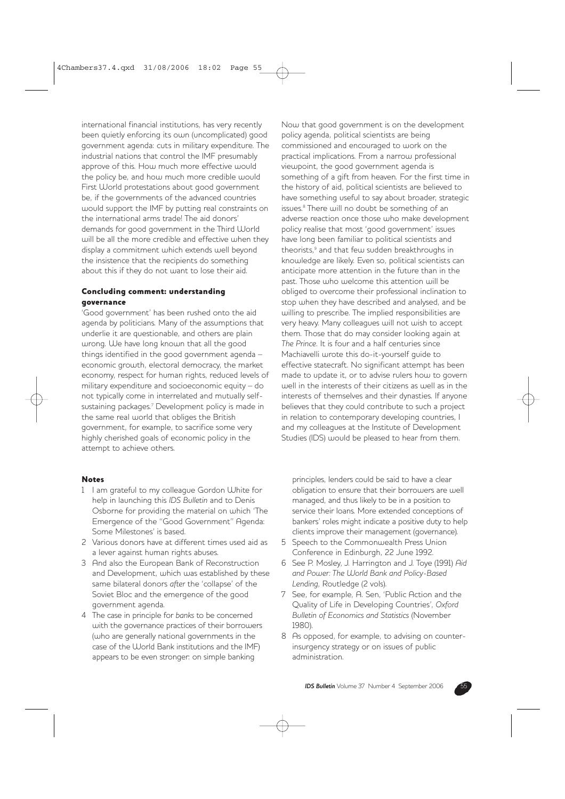international financial institutions, has very recently been quietly enforcing its own (uncomplicated) good government agenda: cuts in military expenditure. The industrial nations that control the IMF presumably approve of this. How much more effective would the policy be, and how much more credible would First World protestations about good government be, if the governments of the advanced countries would support the IMF by putting real constraints on the international arms trade! The aid donors' demands for good government in the Third World will be all the more credible and effective when they display a commitment which extends well beyond the insistence that the recipients do something about this if they do not want to lose their aid.

### Concluding comment: understanding governance

'Good government' has been rushed onto the aid agenda by politicians. Many of the assumptions that underlie it are questionable, and others are plain wrong. We have long known that all the good things identified in the good government agenda – economic growth, electoral democracy, the market economy, respect for human rights, reduced levels of military expenditure and socioeconomic equity – do not typically come in interrelated and mutually selfsustaining packages.*<sup>7</sup>* Development policy is made in the same real world that obliges the British government, for example, to sacrifice some very highly cherished goals of economic policy in the attempt to achieve others.

Now that good government is on the development policy agenda, political scientists are being commissioned and encouraged to work on the practical implications. From a narrow professional viewpoint, the good government agenda is something of a gift from heaven. For the first time in the history of aid, political scientists are believed to have something useful to say about broader, strategic issues.<sup>8</sup> There will no doubt be something of an adverse reaction once those who make development policy realise that most 'good government' issues have long been familiar to political scientists and theorists,<sup>9</sup> and that few sudden breakthroughs in knowledge are likely. Even so, political scientists can anticipate more attention in the future than in the past. Those who welcome this attention will be obliged to overcome their professional inclination to stop when they have described and analysed, and be willing to prescribe. The implied responsibilities are very heavy. Many colleagues will not wish to accept them. Those that do may consider looking again at *The Prince*. It is four and a half centuries since Machiavelli wrote this do-it-yourself guide to effective statecraft. No significant attempt has been made to update it, or to advise rulers how to govern well in the interests of their citizens as well as in the interests of themselves and their dynasties. If anyone believes that they could contribute to such a project in relation to contemporary developing countries, I and my colleagues at the Institute of Development Studies (IDS) would be pleased to hear from them.

#### Notes

- 1 I am grateful to my colleague Gordon White for help in launching this *IDS Bulletin* and to Denis Osborne for providing the material on which 'The Emergence of the "Good Government" Agenda: Some Milestones' is based.
- 2 Various donors have at different times used aid as a lever against human rights abuses.
- 3 And also the European Bank of Reconstruction and Development, which was established by these same bilateral donors *after* the 'collapse' of the Soviet Bloc and the emergence of the good government agenda.
- 4 The case in principle for *banks* to be concerned with the governance practices of their borrowers (who are generally national governments in the case of the World Bank institutions and the IMF) appears to be even stronger: on simple banking

principles, lenders could be said to have a clear obligation to ensure that their borrowers are well managed, and thus likely to be in a position to service their loans. More extended conceptions of bankers' roles might indicate a positive duty to help clients improve their management (governance).

- 5 Speech to the Commonwealth Press Union Conference in Edinburgh, 22 June 1992.
- 6 See P. Mosley, J. Harrington and J. Toye (1991) *Aid and Power: The World Bank and Policy-Based Lending*, Routledge (2 vols).
- 7 See, for example, A. Sen, 'Public Action and the Quality of Life in Developing Countries', *Oxford Bulletin of Economics and Statistics* (November 1980).
- 8 As opposed, for example, to advising on counterinsurgency strategy or on issues of public administration.